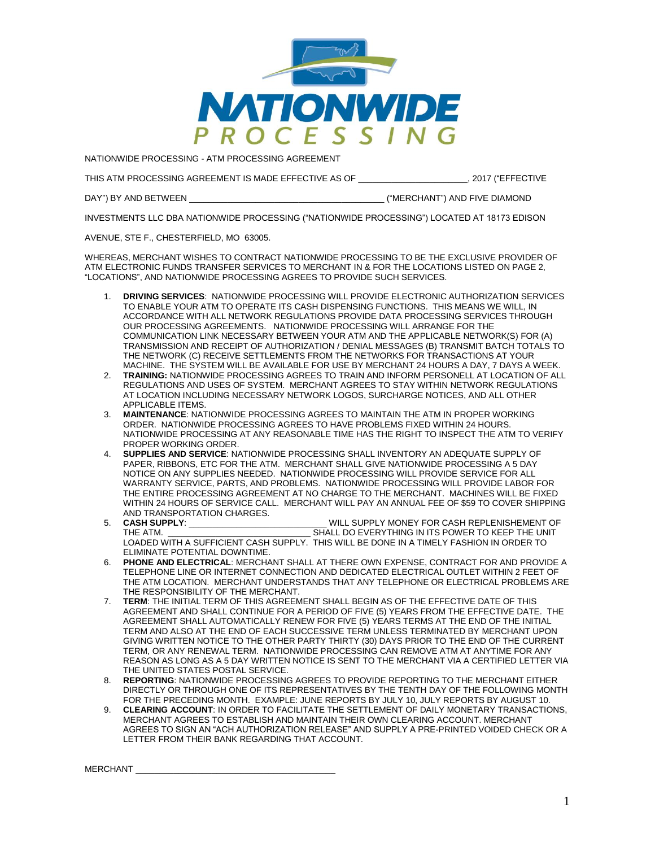

NATIONWIDE PROCESSING - ATM PROCESSING AGREEMENT

THIS ATM PROCESSING AGREEMENT IS MADE EFFECTIVE AS OF  $\qquad \qquad$  . 2017 ("EFFECTIVE

DAY") BY AND BETWEEN THE SAME RESERVED AND SERVED AND BIVE DIAMOND

INVESTMENTS LLC DBA NATIONWIDE PROCESSING ("NATIONWIDE PROCESSING") LOCATED AT 18173 EDISON

AVENUE, STE F., CHESTERFIELD, MO 63005.

WHEREAS, MERCHANT WISHES TO CONTRACT NATIONWIDE PROCESSING TO BE THE EXCLUSIVE PROVIDER OF ATM ELECTRONIC FUNDS TRANSFER SERVICES TO MERCHANT IN & FOR THE LOCATIONS LISTED ON PAGE 2, "LOCATIONS", AND NATIONWIDE PROCESSING AGREES TO PROVIDE SUCH SERVICES.

- 1. **DRIVING SERVICES**: NATIONWIDE PROCESSING WILL PROVIDE ELECTRONIC AUTHORIZATION SERVICES TO ENABLE YOUR ATM TO OPERATE ITS CASH DISPENSING FUNCTIONS. THIS MEANS WE WILL, IN ACCORDANCE WITH ALL NETWORK REGULATIONS PROVIDE DATA PROCESSING SERVICES THROUGH OUR PROCESSING AGREEMENTS. NATIONWIDE PROCESSING WILL ARRANGE FOR THE COMMUNICATION LINK NECESSARY BETWEEN YOUR ATM AND THE APPLICABLE NETWORK(S) FOR (A) TRANSMISSION AND RECEIPT OF AUTHORIZATION / DENIAL MESSAGES (B) TRANSMIT BATCH TOTALS TO THE NETWORK (C) RECEIVE SETTLEMENTS FROM THE NETWORKS FOR TRANSACTIONS AT YOUR MACHINE. THE SYSTEM WILL BE AVAILABLE FOR USE BY MERCHANT 24 HOURS A DAY, 7 DAYS A WEEK.
- 2. **TRAINING:** NATIONWIDE PROCESSING AGREES TO TRAIN AND INFORM PERSONELL AT LOCATION OF ALL REGULATIONS AND USES OF SYSTEM. MERCHANT AGREES TO STAY WITHIN NETWORK REGULATIONS AT LOCATION INCLUDING NECESSARY NETWORK LOGOS, SURCHARGE NOTICES, AND ALL OTHER APPLICABLE ITEMS.
- 3. **MAINTENANCE**: NATIONWIDE PROCESSING AGREES TO MAINTAIN THE ATM IN PROPER WORKING ORDER. NATIONWIDE PROCESSING AGREES TO HAVE PROBLEMS FIXED WITHIN 24 HOURS. NATIONWIDE PROCESSING AT ANY REASONABLE TIME HAS THE RIGHT TO INSPECT THE ATM TO VERIFY PROPER WORKING ORDER.
- 4. **SUPPLIES AND SERVICE**: NATIONWIDE PROCESSING SHALL INVENTORY AN ADEQUATE SUPPLY OF PAPER, RIBBONS, ETC FOR THE ATM. MERCHANT SHALL GIVE NATIONWIDE PROCESSING A 5 DAY NOTICE ON ANY SUPPLIES NEEDED. NATIONWIDE PROCESSING WILL PROVIDE SERVICE FOR ALL WARRANTY SERVICE, PARTS, AND PROBLEMS. NATIONWIDE PROCESSING WILL PROVIDE LABOR FOR THE ENTIRE PROCESSING AGREEMENT AT NO CHARGE TO THE MERCHANT. MACHINES WILL BE FIXED WITHIN 24 HOURS OF SERVICE CALL. MERCHANT WILL PAY AN ANNUAL FEE OF \$59 TO COVER SHIPPING AND TRANSPORTATION CHARGES.<br>5. CASH SUPPLY:
- WILL SUPPLY MONEY FOR CASH REPLENISHEMENT OF THE ATM. \_\_\_\_\_\_\_\_\_\_\_\_\_\_\_\_\_\_\_\_\_\_\_\_\_\_\_\_\_\_ SHALL DO EVERYTHING IN ITS POWER TO KEEP THE UNIT LOADED WITH A SUFFICIENT CASH SUPPLY. THIS WILL BE DONE IN A TIMELY FASHION IN ORDER TO ELIMINATE POTENTIAL DOWNTIME.
- 6. **PHONE AND ELECTRICAL**: MERCHANT SHALL AT THERE OWN EXPENSE, CONTRACT FOR AND PROVIDE A TELEPHONE LINE OR INTERNET CONNECTION AND DEDICATED ELECTRICAL OUTLET WITHIN 2 FEET OF THE ATM LOCATION. MERCHANT UNDERSTANDS THAT ANY TELEPHONE OR ELECTRICAL PROBLEMS ARE THE RESPONSIBILITY OF THE MERCHANT.
- 7. **TERM**: THE INITIAL TERM OF THIS AGREEMENT SHALL BEGIN AS OF THE EFFECTIVE DATE OF THIS AGREEMENT AND SHALL CONTINUE FOR A PERIOD OF FIVE (5) YEARS FROM THE EFFECTIVE DATE. THE AGREEMENT SHALL AUTOMATICALLY RENEW FOR FIVE (5) YEARS TERMS AT THE END OF THE INITIAL TERM AND ALSO AT THE END OF EACH SUCCESSIVE TERM UNLESS TERMINATED BY MERCHANT UPON GIVING WRITTEN NOTICE TO THE OTHER PARTY THIRTY (30) DAYS PRIOR TO THE END OF THE CURRENT TERM, OR ANY RENEWAL TERM. NATIONWIDE PROCESSING CAN REMOVE ATM AT ANYTIME FOR ANY REASON AS LONG AS A 5 DAY WRITTEN NOTICE IS SENT TO THE MERCHANT VIA A CERTIFIED LETTER VIA THE UNITED STATES POSTAL SERVICE.
- 8. **REPORTING**: NATIONWIDE PROCESSING AGREES TO PROVIDE REPORTING TO THE MERCHANT EITHER DIRECTLY OR THROUGH ONE OF ITS REPRESENTATIVES BY THE TENTH DAY OF THE FOLLOWING MONTH FOR THE PRECEDING MONTH. EXAMPLE: JUNE REPORTS BY JULY 10, JULY REPORTS BY AUGUST 10.
- 9. **CLEARING ACCOUNT**: IN ORDER TO FACILITATE THE SETTLEMENT OF DAILY MONETARY TRANSACTIONS, MERCHANT AGREES TO ESTABLISH AND MAINTAIN THEIR OWN CLEARING ACCOUNT. MERCHANT AGREES TO SIGN AN "ACH AUTHORIZATION RELEASE" AND SUPPLY A PRE-PRINTED VOIDED CHECK OR A LETTER FROM THEIR BANK REGARDING THAT ACCOUNT.

MERCHANT\_